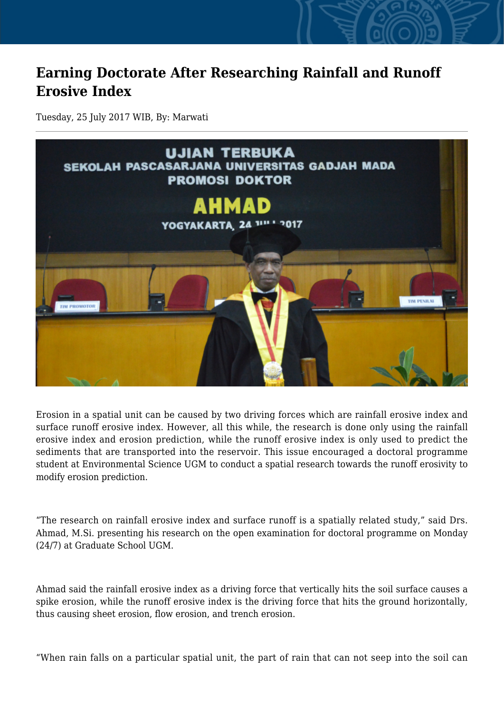## **Earning Doctorate After Researching Rainfall and Runoff Erosive Index**

Tuesday, 25 July 2017 WIB, By: Marwati



Erosion in a spatial unit can be caused by two driving forces which are rainfall erosive index and surface runoff erosive index. However, all this while, the research is done only using the rainfall erosive index and erosion prediction, while the runoff erosive index is only used to predict the sediments that are transported into the reservoir. This issue encouraged a doctoral programme student at Environmental Science UGM to conduct a spatial research towards the runoff erosivity to modify erosion prediction.

"The research on rainfall erosive index and surface runoff is a spatially related study," said Drs. Ahmad, M.Si. presenting his research on the open examination for doctoral programme on Monday (24/7) at Graduate School UGM.

Ahmad said the rainfall erosive index as a driving force that vertically hits the soil surface causes a spike erosion, while the runoff erosive index is the driving force that hits the ground horizontally, thus causing sheet erosion, flow erosion, and trench erosion.

"When rain falls on a particular spatial unit, the part of rain that can not seep into the soil can